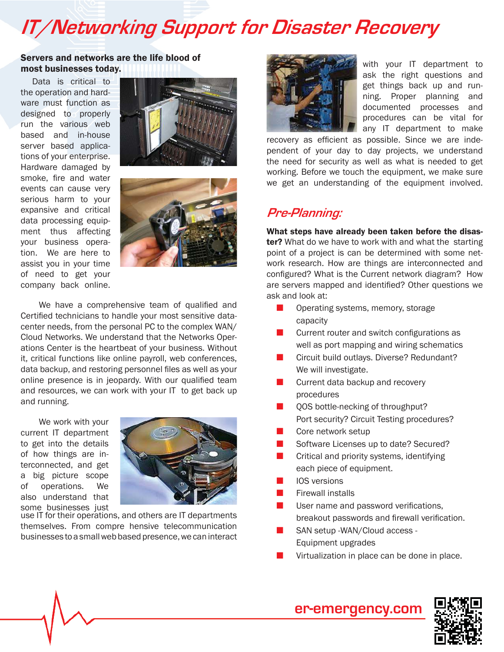# **IT/Networking Support for Disaster Recovery**

#### Servers and networks are the life blood of most businesses today.

Data is critical to the operation and hardware must function as designed to properly run the various web based and in-house server based applications of your enterprise. Hardware damaged by smoke, fire and water events can cause very serious harm to your expansive and critical data processing equipment thus affecting your business operation. We are here to assist you in your time of need to get your company back online.





We have a comprehensive team of qualified and Certified technicians to handle your most sensitive datacenter needs, from the personal PC to the complex WAN/ Cloud Networks. We understand that the Networks Operations Center is the heartbeat of your business. Without it, critical functions like online payroll, web conferences, data backup, and restoring personnel files as well as your online presence is in jeopardy. With our qualified team and resources, we can work with your IT to get back up and running.

We work with your current IT department to get into the details of how things are interconnected, and get a big picture scope of operations. We also understand that some businesses just



use IT for their operations, and others are IT departments themselves. From compre hensive telecommunication businesses to a small web based presence, we can interact



with your IT department to ask the right questions and get things back up and running. Proper planning and documented processes and procedures can be vital for any IT department to make

recovery as efficient as possible. Since we are independent of your day to day projects, we understand the need for security as well as what is needed to get working. Before we touch the equipment, we make sure we get an understanding of the equipment involved.

### **Pre-Planning:**

What steps have already been taken before the disas**ter?** What do we have to work with and what the starting point of a project is can be determined with some network research. How are things are interconnected and configured? What is the Current network diagram? How are servers mapped and identified? Other questions we ask and look at:

- $\blacksquare$  Operating systems, memory, storage capacity
- $\blacksquare$  Current router and switch configurations as well as port mapping and wiring schematics
- Circuit build outlays. Diverse? Redundant? We will investigate.
- $\blacksquare$  Current data backup and recovery procedures
- **n** QOS bottle-necking of throughput? Port security? Circuit Testing procedures?
- $\blacksquare$  Core network setup
- Software Licenses up to date? Secured?
- $\blacksquare$  Critical and priority systems, identifying each piece of equipment.
- **n** IOS versions
- **Firewall installs**
- User name and password verifications, breakout passwords and firewall verification.
- SAN setup -WAN/Cloud access -Equipment upgrades
- Virtualization in place can be done in place.



**er-emergency.com**